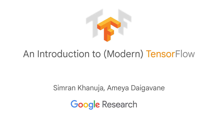

# An Introduction to (Modern) TensorFlow

### Simran Khanuja, Ameya Daigavane

**Google Research**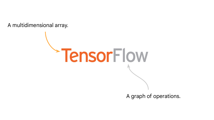A multidimensional array.

A graph of operations.

TensorFlow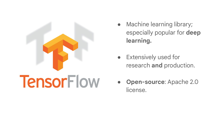

- Machine learning library; especially popular for **deep learning.**
- **•** Extensively used for research **and** production.
- **Open-source**: Apache 2.0 license.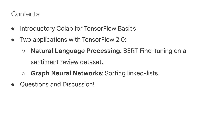#### **Contents**

- Introductory Colab for TensorFlow Basics
- Two applications with TensorFlow 2.0:
	- **Natural Language Processing**: BERT Fine-tuning on a sentiment review dataset.
	- **Graph Neural Networks**: Sorting linked-lists.
- Questions and Discussion!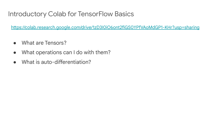#### Introductory Colab for TensorFlow Basics

<https://colab.research.google.com/drive/1zD3I0iO6ont2fiGS0YPfVAoMdGP1-KHr?usp=sharing>

- What are Tensors?
- What operations can I do with them?
- What is auto-differentiation?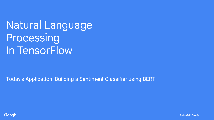Natural Language Processing In TensorFlow

Today's Application: Building a Sentiment Classifier using BERT!



Confidential + Proprietary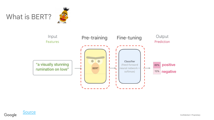







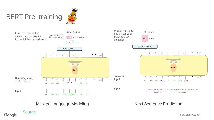





#### Masked Language Modeling Next Sentence Prediction

Google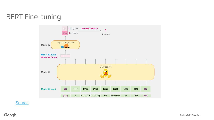## BERT Fine-tuning



**[Source](https://jalammar.github.io/a-visual-guide-to-using-bert-for-the-first-time/)**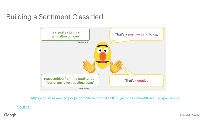### Building a Sentiment Classifier!



[https://colab.research.google.com/drive/1121vEUkIHh3\\_iwIbnr8nGnIaq0lDe6D3?usp=sharing](https://colab.research.google.com/drive/1121vEUkIHh3_iwIbnr8nGnIaq0lDe6D3?usp=sharing)

**[Source](https://jalammar.github.io/a-visual-guide-to-using-bert-for-the-first-time/)** 

Google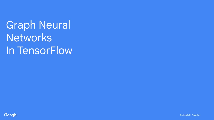Graph Neural **Networks** In TensorFlow

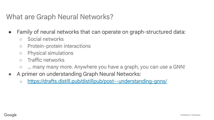#### What are Graph Neural Networks?

- Family of neural networks that can operate on graph-structured data:
	- Social networks
	- Protein-protein interactions
	- Physical simulations
	- Traffic networks
	- ... many many more. Anywhere you have a graph, you can use a GNN!
- A primer on understanding Graph Neural Networks:
	- <https://drafts.distill.pub/distillpub/post--understanding-gnns/>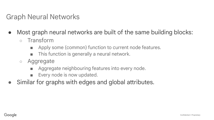#### Graph Neural Networks

- Most graph neural networks are built of the same building blocks:
	- Transform
		- Apply some (common) function to current node features.
		- This function is generally a neural network.
	- Aggregate
		- Aggregate neighbouring features into every node.
		- Every node is now updated.
- Similar for graphs with edges and global attributes.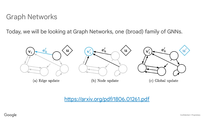#### Graph Networks

Today, we will be looking at Graph Networks, one (broad) family of GNNs.



(a) Edge update

(b) Node update

Global update  $(c)$ 

#### <https://arxiv.org/pdf/1806.01261.pdf>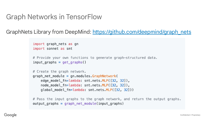#### Graph Networks in TensorFlow

GraphNets Library from DeepMind: [https://github.com/deepmind/graph\\_nets](https://github.com/deepmind/graph_nets)

```
import graph nets as gn
import sonnet as snt
# Provide your own functions to generate graph-structured data.
input_{graphs} = get_{graphs}()# Create the graph network.
graph_{\text{net}} module = gn.modules. GraphNetwork(
    edge model fn=lambda: snt.nets.MLP([32, 32]),
    node_model_fn=lambda: snt.nets.MLP([32, 32]),
    global_model_fn=lambda: snt.nets.MLP([32, 32]))
```
# Pass the input graphs to the graph network, and return the output graphs.  $output\_graphs = graph\_net\_module(input\_graphs)$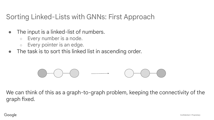#### Sorting Linked-Lists with GNNs: First Approach

- The input is a linked-list of numbers.
	- $\circ$  Every number is a node.
	- Every pointer is an edge.
- The task is to sort this linked list in ascending order.

We can think of this as a graph-to-graph problem, keeping the connectivity of the graph fixed.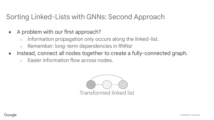#### Sorting Linked-Lists with GNNs: Second Approach

- A problem with our first approach?
	- Information propagation only occurs along the linked-list.
	- Remember: long-term dependencies in RNNs!
- Instead, connect all nodes together to create a fully-connected graph.
	- Easier information flow across nodes.

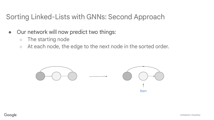#### Sorting Linked-Lists with GNNs: Second Approach

- Our network will now predict two things:
	- The starting node
	- At each node, the edge to the next node in the sorted order.